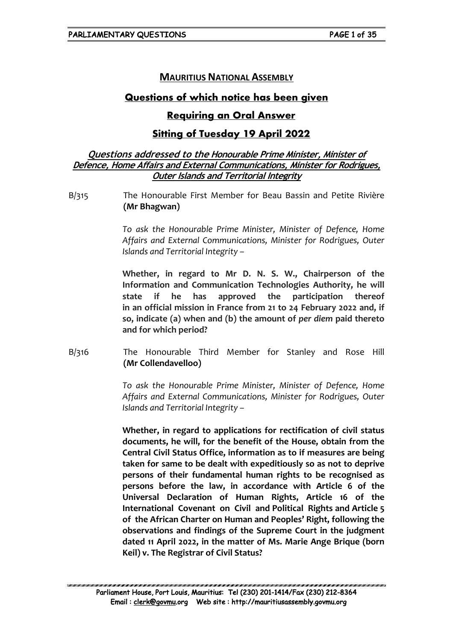# **MAURITIUS NATIONAL ASSEMBLY**

# **Questions of which notice has been given**

# **Requiring an Oral Answer**

# **Sitting of Tuesday 19 April 2022**

## **Questions addressed to the Honourable Prime Minister, Minister of Defence, Home Affairs and External Communications, Minister for Rodrigues, Outer Islands and Territorial Integrity**

B/315 The Honourable First Member for Beau Bassin and Petite Rivière **(Mr Bhagwan)**

> *To ask the Honourable Prime Minister, Minister of Defence, Home Affairs and External Communications, Minister for Rodrigues, Outer Islands and Territorial Integrity –*

> **Whether, in regard to Mr D. N. S. W., Chairperson of the Information and Communication Technologies Authority, he will state if he has approved the participation thereof in an official mission in France from 21 to 24 February 2022 and, if so, indicate (a) when and (b) the amount of** *per diem* **paid thereto and for which period?**

B/316 The Honourable Third Member for Stanley and Rose Hill **(Mr Collendavelloo)**

> *To ask the Honourable Prime Minister, Minister of Defence, Home Affairs and External Communications, Minister for Rodrigues, Outer Islands and Territorial Integrity –*

> **Whether, in regard to applications for rectification of civil status documents, he will, for the benefit of the House, obtain from the Central Civil Status Office, information as to if measures are being taken for same to be dealt with expeditiously so as not to deprive persons of their fundamental human rights to be recognised as persons before the law, in accordance with Article 6 of the Universal Declaration of Human Rights, Article 16 of the International Covenant on Civil and Political Rights and Article 5 of the African Charter on Human and Peoples' Right, following the observations and findings of the Supreme Court in the judgment dated 11 April 2022, in the matter of Ms. Marie Ange Brique (born Keil) v. The Registrar of Civil Status?**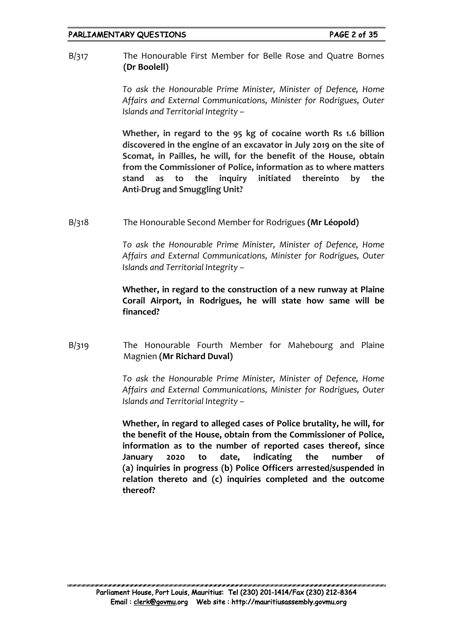B/317 The Honourable First Member for Belle Rose and Quatre Bornes **(Dr Boolell)**

> *To ask the Honourable Prime Minister, Minister of Defence, Home Affairs and External Communications, Minister for Rodrigues, Outer Islands and Territorial Integrity –*

> **Whether, in regard to the 95 kg of cocaine worth Rs 1.6 billion discovered in the engine of an excavator in July 2019 on the site of Scomat, in Pailles, he will, for the benefit of the House, obtain from the Commissioner of Police, information as to where matters stand as to the inquiry initiated thereinto by the Anti-Drug and Smuggling Unit?**

B/318 The Honourable Second Member for Rodrigues **(Mr Léopold)**

*To ask the Honourable Prime Minister, Minister of Defence, Home Affairs and External Communications, Minister for Rodrigues, Outer Islands and Territorial Integrity –* 

## **Whether, in regard to the construction of a new runway at Plaine Corail Airport, in Rodrigues, he will state how same will be financed?**

B/319 The Honourable Fourth Member for Mahebourg and Plaine Magnien **(Mr Richard Duval)**

> *To ask the Honourable Prime Minister, Minister of Defence, Home Affairs and External Communications, Minister for Rodrigues, Outer Islands and Territorial Integrity –*

> **Whether, in regard to alleged cases of Police brutality, he will, for the benefit of the House, obtain from the Commissioner of Police, information as to the number of reported cases thereof, since January 2020 to date, indicating the number of (a) inquiries in progress (b) Police Officers arrested/suspended in relation thereto and (c) inquiries completed and the outcome thereof?**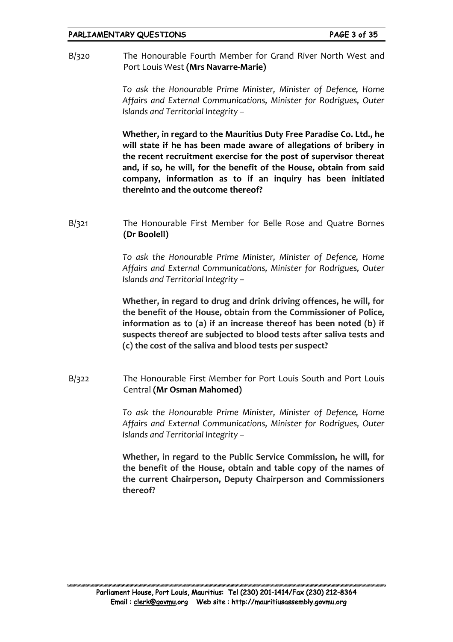B/320 The Honourable Fourth Member for Grand River North West and Port Louis West **(Mrs Navarre-Marie)**

> *To ask the Honourable Prime Minister, Minister of Defence, Home Affairs and External Communications, Minister for Rodrigues, Outer Islands and Territorial Integrity –*

> **Whether, in regard to the Mauritius Duty Free Paradise Co. Ltd., he will state if he has been made aware of allegations of bribery in the recent recruitment exercise for the post of supervisor thereat and, if so, he will, for the benefit of the House, obtain from said company, information as to if an inquiry has been initiated thereinto and the outcome thereof?**

B/321 The Honourable First Member for Belle Rose and Quatre Bornes **(Dr Boolell)**

> *To ask the Honourable Prime Minister, Minister of Defence, Home Affairs and External Communications, Minister for Rodrigues, Outer Islands and Territorial Integrity –*

> **Whether, in regard to drug and drink driving offences, he will, for the benefit of the House, obtain from the Commissioner of Police, information as to (a) if an increase thereof has been noted (b) if suspects thereof are subjected to blood tests after saliva tests and (c) the cost of the saliva and blood tests per suspect?**

B/322 The Honourable First Member for Port Louis South and Port Louis Central **(Mr Osman Mahomed)**

> *To ask the Honourable Prime Minister, Minister of Defence, Home Affairs and External Communications, Minister for Rodrigues, Outer Islands and Territorial Integrity –*

> **Whether, in regard to the Public Service Commission, he will, for the benefit of the House, obtain and table copy of the names of the current Chairperson, Deputy Chairperson and Commissioners thereof?**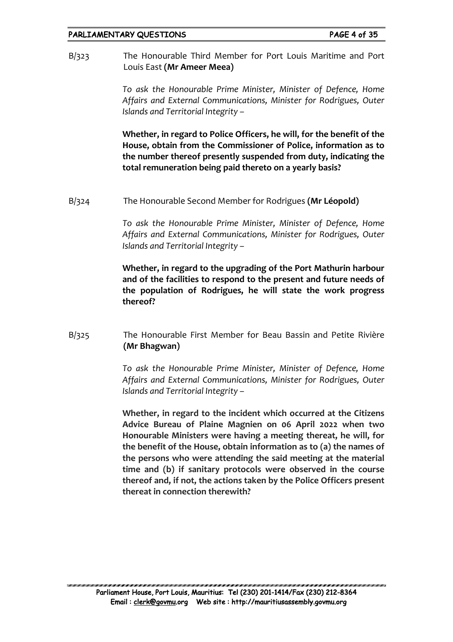B/323 The Honourable Third Member for Port Louis Maritime and Port Louis East **(Mr Ameer Meea)**

> *To ask the Honourable Prime Minister, Minister of Defence, Home Affairs and External Communications, Minister for Rodrigues, Outer Islands and Territorial Integrity –*

> **Whether, in regard to Police Officers, he will, for the benefit of the House, obtain from the Commissioner of Police, information as to the number thereof presently suspended from duty, indicating the total remuneration being paid thereto on a yearly basis?**

B/324 The Honourable Second Member for Rodrigues **(Mr Léopold)**

*To ask the Honourable Prime Minister, Minister of Defence, Home Affairs and External Communications, Minister for Rodrigues, Outer Islands and Territorial Integrity –* 

**Whether, in regard to the upgrading of the Port Mathurin harbour and of the facilities to respond to the present and future needs of the population of Rodrigues, he will state the work progress thereof?**

B/325 The Honourable First Member for Beau Bassin and Petite Rivière **(Mr Bhagwan)**

> *To ask the Honourable Prime Minister, Minister of Defence, Home Affairs and External Communications, Minister for Rodrigues, Outer Islands and Territorial Integrity –*

> **Whether, in regard to the incident which occurred at the Citizens Advice Bureau of Plaine Magnien on 06 April 2022 when two Honourable Ministers were having a meeting thereat, he will, for the benefit of the House, obtain information as to (a) the names of the persons who were attending the said meeting at the material time and (b) if sanitary protocols were observed in the course thereof and, if not, the actions taken by the Police Officers present thereat in connection therewith?**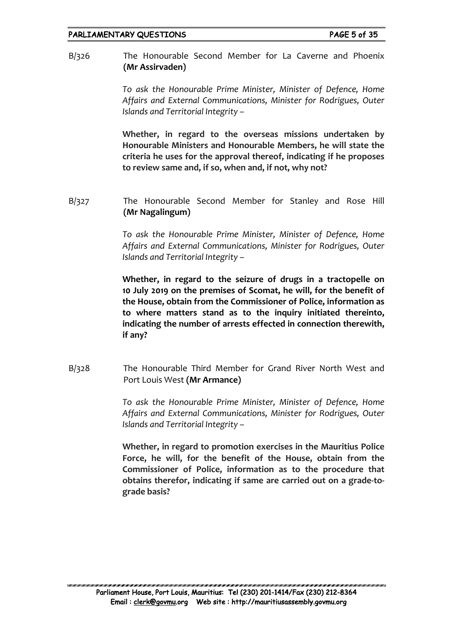B/326 The Honourable Second Member for La Caverne and Phoenix **(Mr Assirvaden)**

> *To ask the Honourable Prime Minister, Minister of Defence, Home Affairs and External Communications, Minister for Rodrigues, Outer Islands and Territorial Integrity –*

> **Whether, in regard to the overseas missions undertaken by Honourable Ministers and Honourable Members, he will state the criteria he uses for the approval thereof, indicating if he proposes to review same and, if so, when and, if not, why not?**

B/327 The Honourable Second Member for Stanley and Rose Hill **(Mr Nagalingum)**

> *To ask the Honourable Prime Minister, Minister of Defence, Home Affairs and External Communications, Minister for Rodrigues, Outer Islands and Territorial Integrity –*

> **Whether, in regard to the seizure of drugs in a tractopelle on 10 July 2019 on the premises of Scomat, he will, for the benefit of the House, obtain from the Commissioner of Police, information as to where matters stand as to the inquiry initiated thereinto, indicating the number of arrests effected in connection therewith, if any?**

B/328 The Honourable Third Member for Grand River North West and Port Louis West **(Mr Armance)**

> *To ask the Honourable Prime Minister, Minister of Defence, Home Affairs and External Communications, Minister for Rodrigues, Outer Islands and Territorial Integrity –*

> **Whether, in regard to promotion exercises in the Mauritius Police Force, he will, for the benefit of the House, obtain from the Commissioner of Police, information as to the procedure that obtains therefor, indicating if same are carried out on a grade-tograde basis?**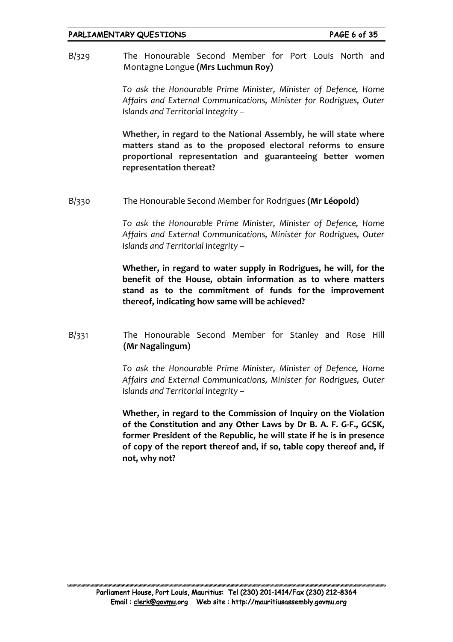B/329 The Honourable Second Member for Port Louis North and Montagne Longue **(Mrs Luchmun Roy)**

> *To ask the Honourable Prime Minister, Minister of Defence, Home Affairs and External Communications, Minister for Rodrigues, Outer Islands and Territorial Integrity –*

> **Whether, in regard to the National Assembly, he will state where matters stand as to the proposed electoral reforms to ensure proportional representation and guaranteeing better women representation thereat?**

B/330 The Honourable Second Member for Rodrigues **(Mr Léopold)**

*To ask the Honourable Prime Minister, Minister of Defence, Home Affairs and External Communications, Minister for Rodrigues, Outer Islands and Territorial Integrity –*

**Whether, in regard to water supply in Rodrigues, he will, for the benefit of the House, obtain information as to where matters stand as to the commitment of funds for the improvement thereof, indicating how same will be achieved?**

B/331 The Honourable Second Member for Stanley and Rose Hill **(Mr Nagalingum)**

> *To ask the Honourable Prime Minister, Minister of Defence, Home Affairs and External Communications, Minister for Rodrigues, Outer Islands and Territorial Integrity –*

> **Whether, in regard to the Commission of Inquiry on the Violation of the Constitution and any Other Laws by Dr B. A. F. G-F., GCSK, former President of the Republic, he will state if he is in presence of copy of the report thereof and, if so, table copy thereof and, if not, why not?**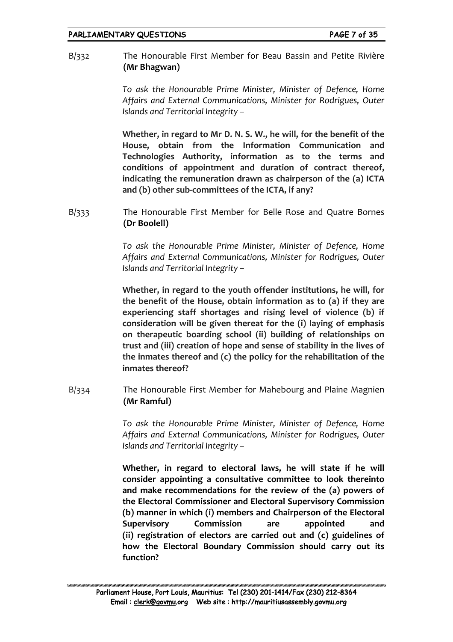B/332 The Honourable First Member for Beau Bassin and Petite Rivière **(Mr Bhagwan)**

> *To ask the Honourable Prime Minister, Minister of Defence, Home Affairs and External Communications, Minister for Rodrigues, Outer Islands and Territorial Integrity –*

> **Whether, in regard to Mr D. N. S. W., he will, for the benefit of the House, obtain from the Information Communication and Technologies Authority, information as to the terms and conditions of appointment and duration of contract thereof, indicating the remuneration drawn as chairperson of the (a) ICTA and (b) other sub-committees of the ICTA, if any?**

B/333 The Honourable First Member for Belle Rose and Quatre Bornes **(Dr Boolell)**

> *To ask the Honourable Prime Minister, Minister of Defence, Home Affairs and External Communications, Minister for Rodrigues, Outer Islands and Territorial Integrity –*

> **Whether, in regard to the youth offender institutions, he will, for the benefit of the House, obtain information as to (a) if they are experiencing staff shortages and rising level of violence (b) if consideration will be given thereat for the (i) laying of emphasis on therapeutic boarding school (ii) building of relationships on trust and (iii) creation of hope and sense of stability in the lives of the inmates thereof and (c) the policy for the rehabilitation of the inmates thereof?**

B/334 The Honourable First Member for Mahebourg and Plaine Magnien **(Mr Ramful)**

> *To ask the Honourable Prime Minister, Minister of Defence, Home Affairs and External Communications, Minister for Rodrigues, Outer Islands and Territorial Integrity –*

> **Whether, in regard to electoral laws, he will state if he will consider appointing a consultative committee to look thereinto and make recommendations for the review of the (a) powers of the Electoral Commissioner and Electoral Supervisory Commission (b) manner in which (i) members and Chairperson of the Electoral Supervisory Commission are appointed and (ii) registration of electors are carried out and (c) guidelines of how the Electoral Boundary Commission should carry out its function?**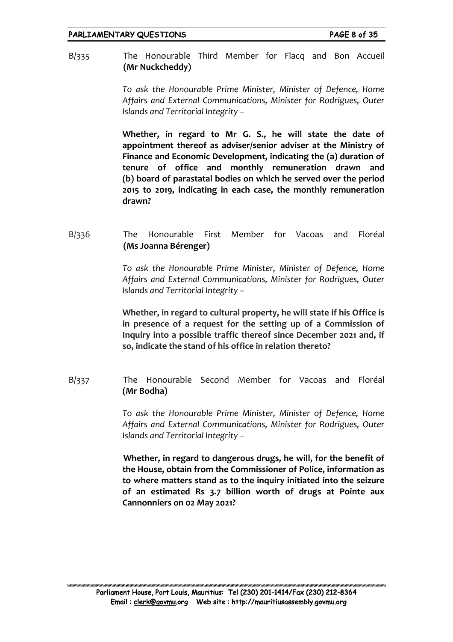B/335 The Honourable Third Member for Flacq and Bon Accueil **(Mr Nuckcheddy)**

> *To ask the Honourable Prime Minister, Minister of Defence, Home Affairs and External Communications, Minister for Rodrigues, Outer Islands and Territorial Integrity –*

> **Whether, in regard to Mr G. S., he will state the date of appointment thereof as adviser/senior adviser at the Ministry of Finance and Economic Development, indicating the (a) duration of tenure of office and monthly remuneration drawn and (b) board of parastatal bodies on which he served over the period 2015 to 2019, indicating in each case, the monthly remuneration drawn?**

# B/336 The Honourable First Member for Vacoas and Floréal **(Ms Joanna Bérenger)**

*To ask the Honourable Prime Minister, Minister of Defence, Home Affairs and External Communications, Minister for Rodrigues, Outer Islands and Territorial Integrity –* 

**Whether, in regard to cultural property, he will state if his Office is in presence of a request for the setting up of a Commission of Inquiry into a possible traffic thereof since December 2021 and, if so, indicate the stand of his office in relation thereto?**

B/337 The Honourable Second Member for Vacoas and Floréal **(Mr Bodha)**

> *To ask the Honourable Prime Minister, Minister of Defence, Home Affairs and External Communications, Minister for Rodrigues, Outer Islands and Territorial Integrity –*

> **Whether, in regard to dangerous drugs, he will, for the benefit of the House, obtain from the Commissioner of Police, information as to where matters stand as to the inquiry initiated into the seizure of an estimated Rs 3.7 billion worth of drugs at Pointe aux Cannonniers on 02 May 2021?**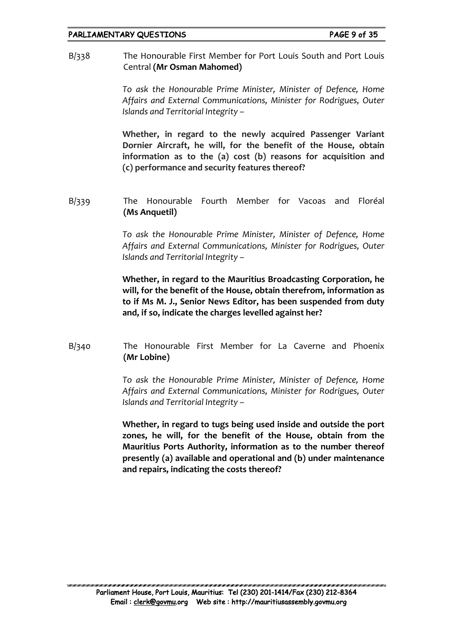B/338 The Honourable First Member for Port Louis South and Port Louis Central **(Mr Osman Mahomed)**

> *To ask the Honourable Prime Minister, Minister of Defence, Home Affairs and External Communications, Minister for Rodrigues, Outer Islands and Territorial Integrity –*

> **Whether, in regard to the newly acquired Passenger Variant Dornier Aircraft, he will, for the benefit of the House, obtain information as to the (a) cost (b) reasons for acquisition and (c) performance and security features thereof?**

B/339 The Honourable Fourth Member for Vacoas and Floréal **(Ms Anquetil)**

> *To ask the Honourable Prime Minister, Minister of Defence, Home Affairs and External Communications, Minister for Rodrigues, Outer Islands and Territorial Integrity –*

> **Whether, in regard to the Mauritius Broadcasting Corporation, he will, for the benefit of the House, obtain therefrom, information as to if Ms M. J., Senior News Editor, has been suspended from duty and, if so, indicate the charges levelled against her?**

B/340 The Honourable First Member for La Caverne and Phoenix **(Mr Lobine)**

> *To ask the Honourable Prime Minister, Minister of Defence, Home Affairs and External Communications, Minister for Rodrigues, Outer Islands and Territorial Integrity –*

> **Whether, in regard to tugs being used inside and outside the port zones, he will, for the benefit of the House, obtain from the Mauritius Ports Authority, information as to the number thereof presently (a) available and operational and (b) under maintenance and repairs, indicating the costs thereof?**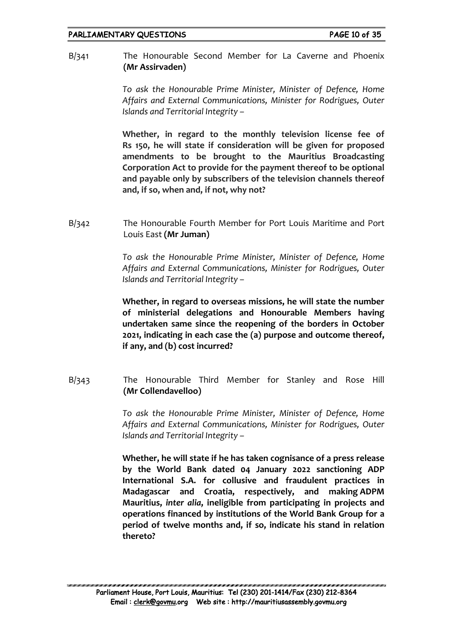B/341 The Honourable Second Member for La Caverne and Phoenix **(Mr Assirvaden)**

> *To ask the Honourable Prime Minister, Minister of Defence, Home Affairs and External Communications, Minister for Rodrigues, Outer Islands and Territorial Integrity –*

> **Whether, in regard to the monthly television license fee of Rs 150, he will state if consideration will be given for proposed amendments to be brought to the Mauritius Broadcasting Corporation Act to provide for the payment thereof to be optional and payable only by subscribers of the television channels thereof and, if so, when and, if not, why not?**

B/342 The Honourable Fourth Member for Port Louis Maritime and Port Louis East **(Mr Juman)**

> *To ask the Honourable Prime Minister, Minister of Defence, Home Affairs and External Communications, Minister for Rodrigues, Outer Islands and Territorial Integrity –*

> **Whether, in regard to overseas missions, he will state the number of ministerial delegations and Honourable Members having undertaken same since the reopening of the borders in October 2021, indicating in each case the (a) purpose and outcome thereof, if any, and (b) cost incurred?**

B/343 The Honourable Third Member for Stanley and Rose Hill **(Mr Collendavelloo)**

> *To ask the Honourable Prime Minister, Minister of Defence, Home Affairs and External Communications, Minister for Rodrigues, Outer Islands and Territorial Integrity –*

> **Whether, he will state if he has taken cognisance of a press release by the World Bank dated 04 January 2022 sanctioning ADP International S.A. for collusive and fraudulent practices in Madagascar and Croatia, respectively, and making ADPM Mauritius,** *inter alia***, ineligible from participating in projects and operations financed by institutions of the World Bank Group for a period of twelve months and, if so, indicate his stand in relation thereto?**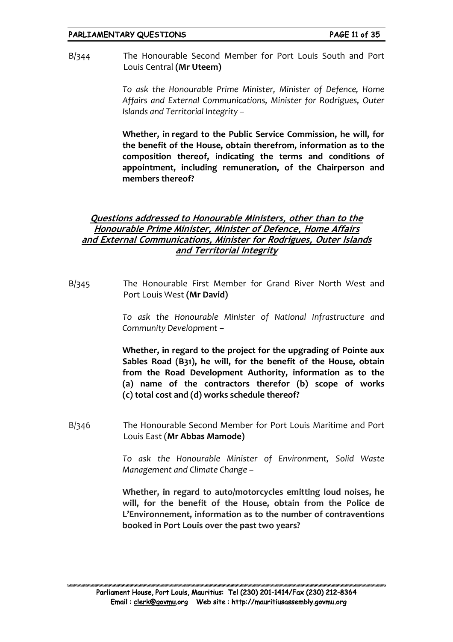B/344 The Honourable Second Member for Port Louis South and Port Louis Central **(Mr Uteem)**

> *To ask the Honourable Prime Minister, Minister of Defence, Home Affairs and External Communications, Minister for Rodrigues, Outer Islands and Territorial Integrity –*

> **Whether, in regard to the Public Service Commission, he will, for the benefit of the House, obtain therefrom, information as to the composition thereof, indicating the terms and conditions of appointment, including remuneration, of the Chairperson and members thereof?**

## **Questions addressed to Honourable Ministers, other than to the Honourable Prime Minister, Minister of Defence, Home Affairs and External Communications, Minister for Rodrigues, Outer Islands and Territorial Integrity**

B/345 The Honourable First Member for Grand River North West and Port Louis West **(Mr David)**

> *To ask the Honourable Minister of National Infrastructure and Community Development –*

> **Whether, in regard to the project for the upgrading of Pointe aux Sables Road (B31), he will, for the benefit of the House, obtain from the Road Development Authority, information as to the (a) name of the contractors therefor (b) scope of works (c) total cost and (d) works schedule thereof?**

B/346 The Honourable Second Member for Port Louis Maritime and Port Louis East (**Mr Abbas Mamode)**

> *To ask the Honourable Minister of Environment, Solid Waste Management and Climate Change –*

> **Whether, in regard to auto/motorcycles emitting loud noises, he will, for the benefit of the House, obtain from the Police de L'Environnement, information as to the number of contraventions booked in Port Louis over the past two years?**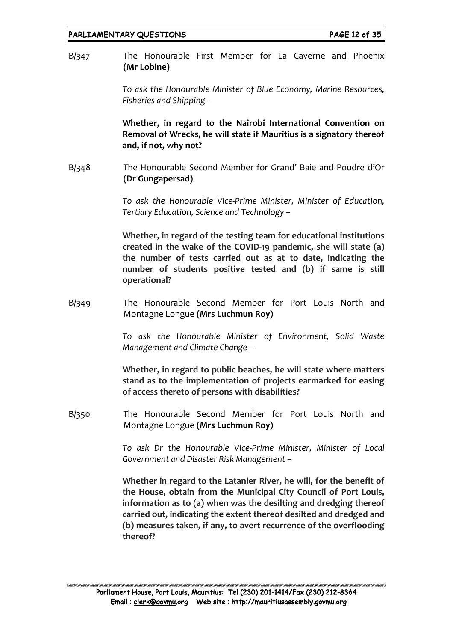B/347 The Honourable First Member for La Caverne and Phoenix **(Mr Lobine)**

> *To ask the Honourable Minister of Blue Economy, Marine Resources, Fisheries and Shipping –*

> **Whether, in regard to the Nairobi International Convention on Removal of Wrecks, he will state if Mauritius is a signatory thereof and, if not, why not?**

B/348 The Honourable Second Member for Grand' Baie and Poudre d'Or **(Dr Gungapersad)**

> *To ask the Honourable Vice-Prime Minister, Minister of Education, Tertiary Education, Science and Technology –*

> **Whether, in regard of the testing team for educational institutions created in the wake of the COVID-19 pandemic, she will state (a) the number of tests carried out as at to date, indicating the number of students positive tested and (b) if same is still operational?**

B/349 The Honourable Second Member for Port Louis North and Montagne Longue **(Mrs Luchmun Roy)**

> *To ask the Honourable Minister of Environment, Solid Waste Management and Climate Change –*

> **Whether, in regard to public beaches, he will state where matters stand as to the implementation of projects earmarked for easing of access thereto of persons with disabilities?**

B/350 The Honourable Second Member for Port Louis North and Montagne Longue **(Mrs Luchmun Roy)**

> *To ask Dr the Honourable Vice-Prime Minister, Minister of Local Government and Disaster Risk Management –*

> **Whether in regard to the Latanier River, he will, for the benefit of the House, obtain from the Municipal City Council of Port Louis, information as to (a) when was the desilting and dredging thereof carried out, indicating the extent thereof desilted and dredged and (b) measures taken, if any, to avert recurrence of the overflooding thereof?**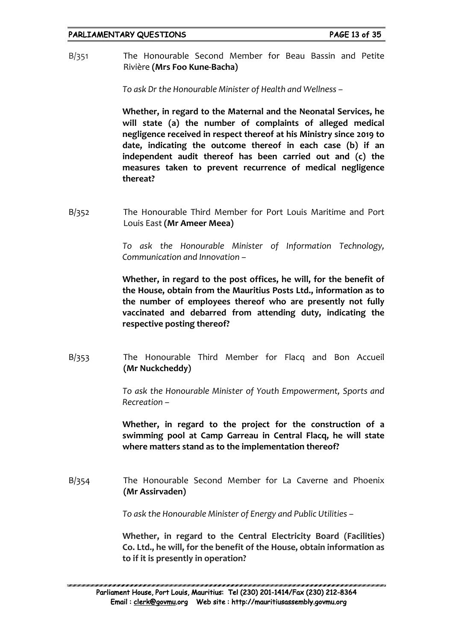B/351 The Honourable Second Member for Beau Bassin and Petite Rivière **(Mrs Foo Kune-Bacha)**

*To ask Dr the Honourable Minister of Health and Wellness –*

**Whether, in regard to the Maternal and the Neonatal Services, he will state (a) the number of complaints of alleged medical negligence received in respect thereof at his Ministry since 2019 to date, indicating the outcome thereof in each case (b) if an independent audit thereof has been carried out and (c) the measures taken to prevent recurrence of medical negligence thereat?**

B/352 The Honourable Third Member for Port Louis Maritime and Port Louis East **(Mr Ameer Meea)**

> *To ask the Honourable Minister of Information Technology, Communication and Innovation –*

> **Whether, in regard to the post offices, he will, for the benefit of the House, obtain from the Mauritius Posts Ltd., information as to the number of employees thereof who are presently not fully vaccinated and debarred from attending duty, indicating the respective posting thereof?**

B/353 The Honourable Third Member for Flacq and Bon Accueil **(Mr Nuckcheddy)**

> *To ask the Honourable Minister of Youth Empowerment, Sports and Recreation –*

> **Whether, in regard to the project for the construction of a swimming pool at Camp Garreau in Central Flacq, he will state where matters stand as to the implementation thereof?**

B/354 The Honourable Second Member for La Caverne and Phoenix **(Mr Assirvaden)**

*To ask the Honourable Minister of Energy and Public Utilities –*

**Whether, in regard to the Central Electricity Board (Facilities) Co. Ltd., he will, for the benefit of the House, obtain information as to if it is presently in operation?**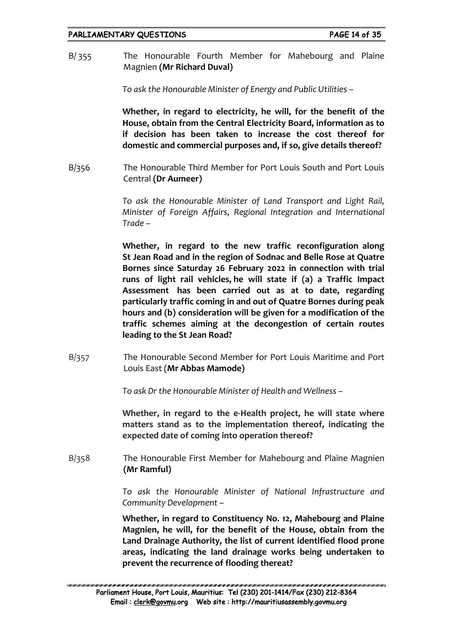B/ 355 The Honourable Fourth Member for Mahebourg and Plaine Magnien **(Mr Richard Duval)**

*To ask the Honourable Minister of Energy and Public Utilities –*

**Whether, in regard to electricity, he will, for the benefit of the House, obtain from the Central Electricity Board, information as to if decision has been taken to increase the cost thereof for domestic and commercial purposes and, if so, give details thereof?** 

B/356 The Honourable Third Member for Port Louis South and Port Louis Central **(Dr Aumeer)**

> *To ask the Honourable Minister of Land Transport and Light Rail, Minister of Foreign Affairs, Regional Integration and International Trade –*

> **Whether, in regard to the new traffic reconfiguration along St Jean Road and in the region of Sodnac and Belle Rose at Quatre Bornes since Saturday 26 February 2022 in connection with trial runs of light rail vehicles, he will state if (a) a Traffic Impact Assessment has been carried out as at to date, regarding particularly traffic coming in and out of Quatre Bornes during peak hours and (b) consideration will be given for a modification of the traffic schemes aiming at the decongestion of certain routes leading to the St Jean Road?**

B/357 The Honourable Second Member for Port Louis Maritime and Port Louis East (**Mr Abbas Mamode)**

*To ask Dr the Honourable Minister of Health and Wellness –*

**Whether, in regard to the e-Health project, he will state where matters stand as to the implementation thereof, indicating the expected date of coming into operation thereof?**

B/358 The Honourable First Member for Mahebourg and Plaine Magnien **(Mr Ramful)**

> *To ask the Honourable Minister of National Infrastructure and Community Development –*

> **Whether, in regard to Constituency No. 12, Mahebourg and Plaine Magnien, he will, for the benefit of the House, obtain from the Land Drainage Authority, the list of current identified flood prone areas, indicating the land drainage works being undertaken to prevent the recurrence of flooding thereat?**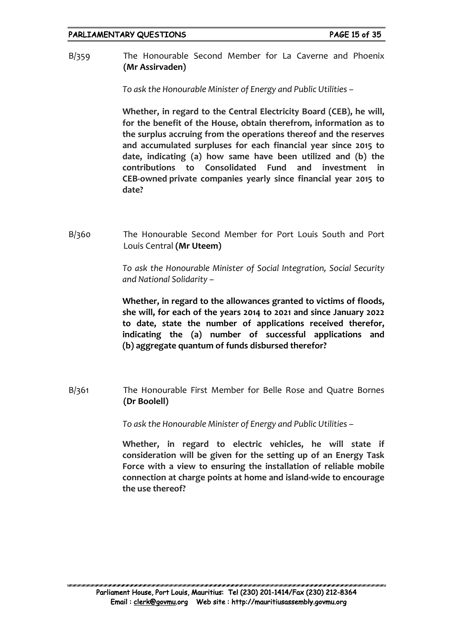B/359 The Honourable Second Member for La Caverne and Phoenix **(Mr Assirvaden)**

*To ask the Honourable Minister of Energy and Public Utilities –*

**Whether, in regard to the Central Electricity Board (CEB), he will, for the benefit of the House, obtain therefrom, information as to the surplus accruing from the operations thereof and the reserves and accumulated surpluses for each financial year since 2015 to date, indicating (a) how same have been utilized and (b) the contributions to Consolidated Fund and investment in CEB-owned private companies yearly since financial year 2015 to date?**

B/360 The Honourable Second Member for Port Louis South and Port Louis Central **(Mr Uteem)**

> *To ask the Honourable Minister of Social Integration, Social Security and National Solidarity –*

> **Whether, in regard to the allowances granted to victims of floods, she will, for each of the years 2014 to 2021 and since January 2022 to date, state the number of applications received therefor, indicating the (a) number of successful applications and (b) aggregate quantum of funds disbursed therefor?**

B/361 The Honourable First Member for Belle Rose and Quatre Bornes **(Dr Boolell)**

*To ask the Honourable Minister of Energy and Public Utilities –*

**Whether, in regard to electric vehicles, he will state if consideration will be given for the setting up of an Energy Task Force with a view to ensuring the installation of reliable mobile connection at charge points at home and island-wide to encourage the use thereof?**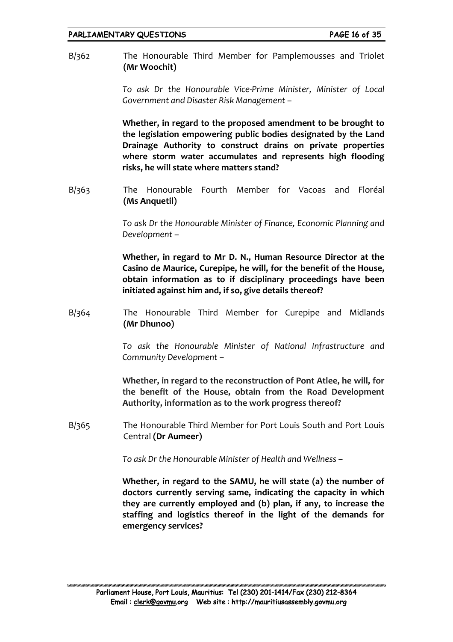B/362 The Honourable Third Member for Pamplemousses and Triolet **(Mr Woochit)**

> *To ask Dr the Honourable Vice-Prime Minister, Minister of Local Government and Disaster Risk Management –*

> **Whether, in regard to the proposed amendment to be brought to the legislation empowering public bodies designated by the Land Drainage Authority to construct drains on private properties where storm water accumulates and represents high flooding risks, he will state where matters stand?**

B/363 The Honourable Fourth Member for Vacoas and Floréal **(Ms Anquetil)**

> *To ask Dr the Honourable Minister of Finance, Economic Planning and Development –*

> **Whether, in regard to Mr D. N., Human Resource Director at the Casino de Maurice, Curepipe, he will, for the benefit of the House, obtain information as to if disciplinary proceedings have been initiated against him and, if so, give details thereof?**

B/364 The Honourable Third Member for Curepipe and Midlands **(Mr Dhunoo)**

> *To ask the Honourable Minister of National Infrastructure and Community Development –*

> **Whether, in regard to the reconstruction of Pont Atlee, he will, for the benefit of the House, obtain from the Road Development Authority, information as to the work progress thereof?**

B/365 The Honourable Third Member for Port Louis South and Port Louis Central **(Dr Aumeer)**

*To ask Dr the Honourable Minister of Health and Wellness –*

**Whether, in regard to the SAMU, he will state (a) the number of doctors currently serving same, indicating the capacity in which they are currently employed and (b) plan, if any, to increase the staffing and logistics thereof in the light of the demands for emergency services?**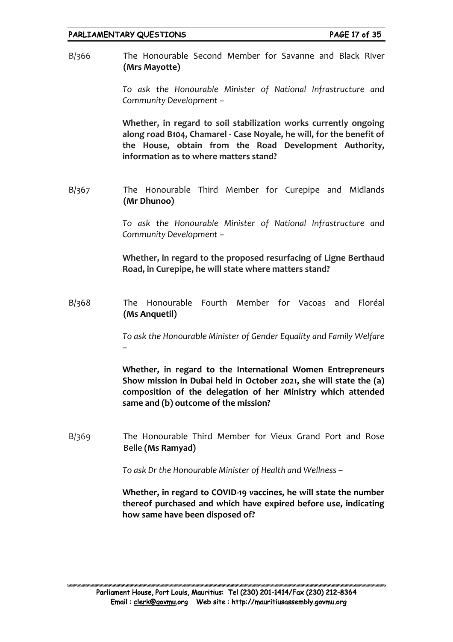B/366 The Honourable Second Member for Savanne and Black River **(Mrs Mayotte)**

> *To ask the Honourable Minister of National Infrastructure and Community Development –*

> **Whether, in regard to soil stabilization works currently ongoing along road B104, Chamarel - Case Noyale, he will, for the benefit of the House, obtain from the Road Development Authority, information as to where matters stand?**

B/367 The Honourable Third Member for Curepipe and Midlands **(Mr Dhunoo)**

> *To ask the Honourable Minister of National Infrastructure and Community Development –*

> **Whether, in regard to the proposed resurfacing of Ligne Berthaud Road, in Curepipe, he will state where matters stand?**

B/368 The Honourable Fourth Member for Vacoas and Floréal **(Ms Anquetil)**

> *To ask the Honourable Minister of Gender Equality and Family Welfare –*

> **Whether, in regard to the International Women Entrepreneurs Show mission in Dubai held in October 2021, she will state the (a) composition of the delegation of her Ministry which attended same and (b) outcome of the mission?**

B/369 The Honourable Third Member for Vieux Grand Port and Rose Belle **(Ms Ramyad)**

*To ask Dr the Honourable Minister of Health and Wellness –*

**Whether, in regard to COVID-19 vaccines, he will state the number thereof purchased and which have expired before use, indicating how same have been disposed of?**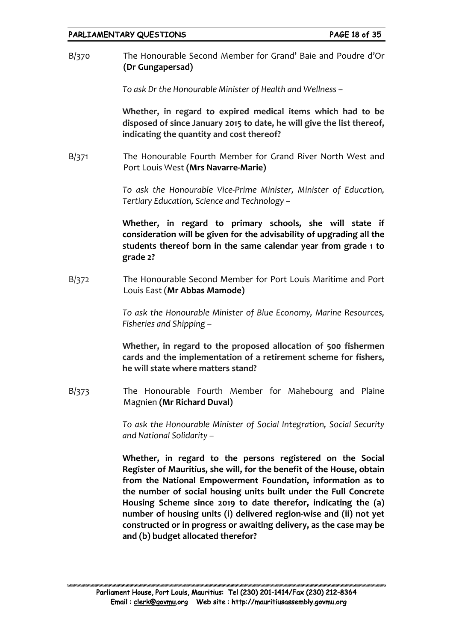B/370 The Honourable Second Member for Grand' Baie and Poudre d'Or **(Dr Gungapersad)**

*To ask Dr the Honourable Minister of Health and Wellness –*

**Whether, in regard to expired medical items which had to be disposed of since January 2015 to date, he will give the list thereof, indicating the quantity and cost thereof?**

B/371 The Honourable Fourth Member for Grand River North West and Port Louis West **(Mrs Navarre-Marie)**

> *To ask the Honourable Vice-Prime Minister, Minister of Education, Tertiary Education, Science and Technology –*

> **Whether, in regard to primary schools, she will state if consideration will be given for the advisability of upgrading all the students thereof born in the same calendar year from grade 1 to grade 2?**

B/372 The Honourable Second Member for Port Louis Maritime and Port Louis East (**Mr Abbas Mamode)**

> *To ask the Honourable Minister of Blue Economy, Marine Resources, Fisheries and Shipping –*

> **Whether, in regard to the proposed allocation of 500 fishermen cards and the implementation of a retirement scheme for fishers, he will state where matters stand?**

B/373 The Honourable Fourth Member for Mahebourg and Plaine Magnien **(Mr Richard Duval)**

> *To ask the Honourable Minister of Social Integration, Social Security and National Solidarity –*

> **Whether, in regard to the persons registered on the Social Register of Mauritius, she will, for the benefit of the House, obtain from the National Empowerment Foundation, information as to the number of social housing units built under the Full Concrete Housing Scheme since 2019 to date therefor, indicating the (a) number of housing units (i) delivered region-wise and (ii) not yet constructed or in progress or awaiting delivery, as the case may be and (b) budget allocated therefor?**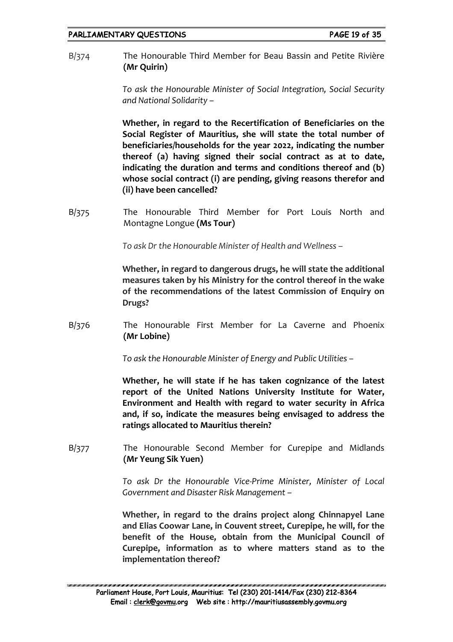B/374 The Honourable Third Member for Beau Bassin and Petite Rivière **(Mr Quirin)**

> *To ask the Honourable Minister of Social Integration, Social Security and National Solidarity –*

> **Whether, in regard to the Recertification of Beneficiaries on the Social Register of Mauritius, she will state the total number of beneficiaries/households for the year 2022, indicating the number thereof (a) having signed their social contract as at to date, indicating the duration and terms and conditions thereof and (b) whose social contract (i) are pending, giving reasons therefor and (ii) have been cancelled?**

B/375 The Honourable Third Member for Port Louis North and Montagne Longue **(Ms Tour)**

*To ask Dr the Honourable Minister of Health and Wellness –*

**Whether, in regard to dangerous drugs, he will state the additional measures taken by his Ministry for the control thereof in the wake of the recommendations of the latest Commission of Enquiry on Drugs?**

B/376 The Honourable First Member for La Caverne and Phoenix **(Mr Lobine)**

*To ask the Honourable Minister of Energy and Public Utilities –*

**Whether, he will state if he has taken cognizance of the latest report of the United Nations University Institute for Water, Environment and Health with regard to water security in Africa and, if so, indicate the measures being envisaged to address the ratings allocated to Mauritius therein?**

B/377 The Honourable Second Member for Curepipe and Midlands **(Mr Yeung Sik Yuen)**

> *To ask Dr the Honourable Vice-Prime Minister, Minister of Local Government and Disaster Risk Management –*

> **Whether, in regard to the drains project along Chinnapyel Lane and Elias Coowar Lane, in Couvent street, Curepipe, he will, for the benefit of the House, obtain from the Municipal Council of Curepipe, information as to where matters stand as to the implementation thereof?**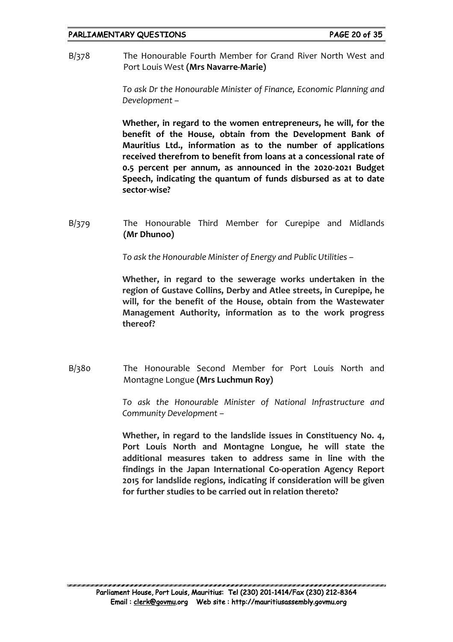B/378 The Honourable Fourth Member for Grand River North West and Port Louis West **(Mrs Navarre-Marie)**

> *To ask Dr the Honourable Minister of Finance, Economic Planning and Development –*

> **Whether, in regard to the women entrepreneurs, he will, for the benefit of the House, obtain from the Development Bank of Mauritius Ltd., information as to the number of applications received therefrom to benefit from loans at a concessional rate of 0.5 percent per annum, as announced in the 2020-2021 Budget Speech, indicating the quantum of funds disbursed as at to date sector-wise?**

B/379 The Honourable Third Member for Curepipe and Midlands **(Mr Dhunoo)**

*To ask the Honourable Minister of Energy and Public Utilities –*

**Whether, in regard to the sewerage works undertaken in the region of Gustave Collins, Derby and Atlee streets, in Curepipe, he will, for the benefit of the House, obtain from the Wastewater Management Authority, information as to the work progress thereof?**

B/380 The Honourable Second Member for Port Louis North and Montagne Longue **(Mrs Luchmun Roy)**

> *To ask the Honourable Minister of National Infrastructure and Community Development –*

> **Whether, in regard to the landslide issues in Constituency No. 4, Port Louis North and Montagne Longue, he will state the additional measures taken to address same in line with the findings in the Japan International Co-operation Agency Report 2015 for landslide regions, indicating if consideration will be given for further studies to be carried out in relation thereto?**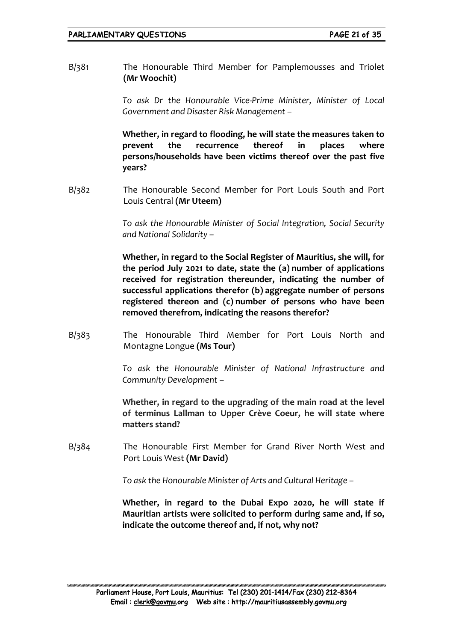B/381 The Honourable Third Member for Pamplemousses and Triolet **(Mr Woochit)**

> *To ask Dr the Honourable Vice-Prime Minister, Minister of Local Government and Disaster Risk Management –*

> **Whether, in regard to flooding, he will state the measures taken to prevent the recurrence thereof in places where persons/households have been victims thereof over the past five years?**

B/382 The Honourable Second Member for Port Louis South and Port Louis Central **(Mr Uteem)**

> *To ask the Honourable Minister of Social Integration, Social Security and National Solidarity –*

> **Whether, in regard to the Social Register of Mauritius, she will, for the period July 2021 to date, state the (a) number of applications received for registration thereunder, indicating the number of successful applications therefor (b) aggregate number of persons registered thereon and (c) number of persons who have been removed therefrom, indicating the reasons therefor?**

B/383 The Honourable Third Member for Port Louis North and Montagne Longue **(Ms Tour)**

> *To ask the Honourable Minister of National Infrastructure and Community Development –*

> **Whether, in regard to the upgrading of the main road at the level of terminus Lallman to Upper Crève Coeur, he will state where matters stand?**

B/384 The Honourable First Member for Grand River North West and Port Louis West **(Mr David)**

*To ask the Honourable Minister of Arts and Cultural Heritage –*

**Whether, in regard to the Dubai Expo 2020, he will state if Mauritian artists were solicited to perform during same and, if so, indicate the outcome thereof and, if not, why not?**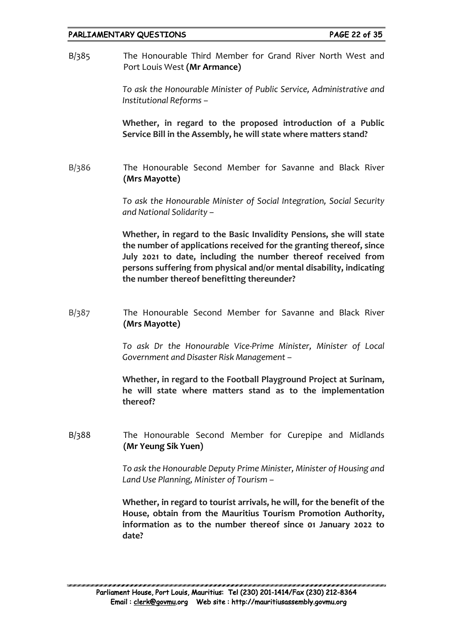## PARLIAMENTARY QUESTIONS PAGE 22 of 35

B/385 The Honourable Third Member for Grand River North West and Port Louis West **(Mr Armance)**

> *To ask the Honourable Minister of Public Service, Administrative and Institutional Reforms –*

> **Whether, in regard to the proposed introduction of a Public Service Bill in the Assembly, he will state where matters stand?**

B/386 The Honourable Second Member for Savanne and Black River **(Mrs Mayotte)**

> *To ask the Honourable Minister of Social Integration, Social Security and National Solidarity –*

> **Whether, in regard to the Basic Invalidity Pensions, she will state the number of applications received for the granting thereof, since July 2021 to date, including the number thereof received from persons suffering from physical and/or mental disability, indicating the number thereof benefitting thereunder?**

B/387 The Honourable Second Member for Savanne and Black River **(Mrs Mayotte)**

> *To ask Dr the Honourable Vice-Prime Minister, Minister of Local Government and Disaster Risk Management –*

> **Whether, in regard to the Football Playground Project at Surinam, he will state where matters stand as to the implementation thereof?**

B/388 The Honourable Second Member for Curepipe and Midlands **(Mr Yeung Sik Yuen)**

> *To ask the Honourable Deputy Prime Minister, Minister of Housing and Land Use Planning, Minister of Tourism –*

> **Whether, in regard to tourist arrivals, he will, for the benefit of the House, obtain from the Mauritius Tourism Promotion Authority, information as to the number thereof since 01 January 2022 to date?**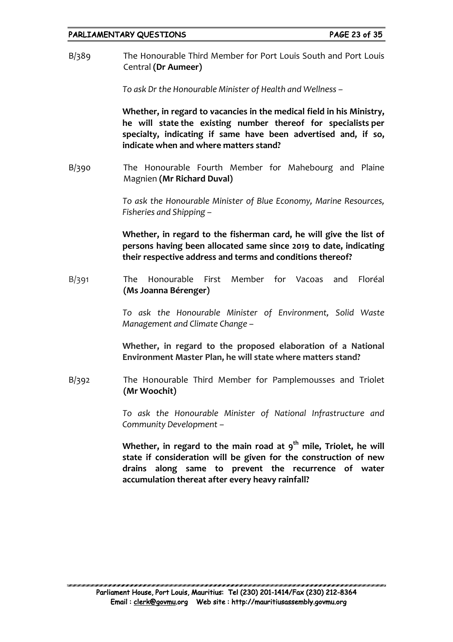## PARLIAMENTARY QUESTIONS FARE 23 of 35

B/389 The Honourable Third Member for Port Louis South and Port Louis Central **(Dr Aumeer)**

*To ask Dr the Honourable Minister of Health and Wellness –*

**Whether, in regard to vacancies in the medical field in his Ministry, he will state the existing number thereof for specialists per specialty, indicating if same have been advertised and, if so, indicate when and where matters stand?**

B/390 The Honourable Fourth Member for Mahebourg and Plaine Magnien **(Mr Richard Duval)**

> *To ask the Honourable Minister of Blue Economy, Marine Resources, Fisheries and Shipping –*

> **Whether, in regard to the fisherman card, he will give the list of persons having been allocated same since 2019 to date, indicating their respective address and terms and conditions thereof?**

B/391 The Honourable First Member for Vacoas and Floréal **(Ms Joanna Bérenger)**

> *To ask the Honourable Minister of Environment, Solid Waste Management and Climate Change –*

> **Whether, in regard to the proposed elaboration of a National Environment Master Plan, he will state where matters stand?**

B/392 The Honourable Third Member for Pamplemousses and Triolet **(Mr Woochit)**

> *To ask the Honourable Minister of National Infrastructure and Community Development –*

> Whether, in regard to the main road at 9<sup>th</sup> mile, Triolet, he will **state if consideration will be given for the construction of new drains along same to prevent the recurrence of water accumulation thereat after every heavy rainfall?**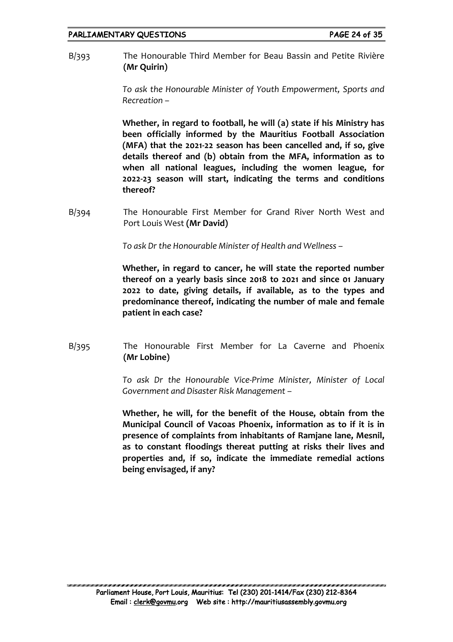B/393 The Honourable Third Member for Beau Bassin and Petite Rivière **(Mr Quirin)**

> *To ask the Honourable Minister of Youth Empowerment, Sports and Recreation –*

> **Whether, in regard to football, he will (a) state if his Ministry has been officially informed by the Mauritius Football Association (MFA) that the 2021-22 season has been cancelled and, if so, give details thereof and (b) obtain from the MFA, information as to when all national leagues, including the women league, for 2022-23 season will start, indicating the terms and conditions thereof?**

B/394 The Honourable First Member for Grand River North West and Port Louis West **(Mr David)**

*To ask Dr the Honourable Minister of Health and Wellness –*

**Whether, in regard to cancer, he will state the reported number thereof on a yearly basis since 2018 to 2021 and since 01 January 2022 to date, giving details, if available, as to the types and predominance thereof, indicating the number of male and female patient in each case?**

B/395 The Honourable First Member for La Caverne and Phoenix **(Mr Lobine)**

> *To ask Dr the Honourable Vice-Prime Minister, Minister of Local Government and Disaster Risk Management –*

> **Whether, he will, for the benefit of the House, obtain from the Municipal Council of Vacoas Phoenix, information as to if it is in presence of complaints from inhabitants of Ramjane lane, Mesnil, as to constant floodings thereat putting at risks their lives and properties and, if so, indicate the immediate remedial actions being envisaged, if any?**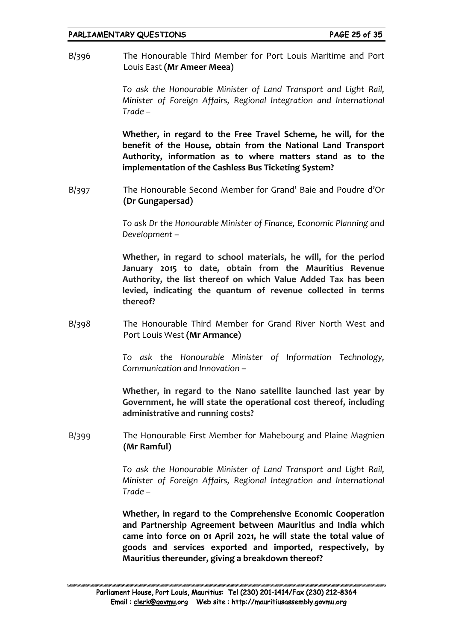## PARLIAMENTARY QUESTIONS FARE 25 of 35

B/396 The Honourable Third Member for Port Louis Maritime and Port Louis East **(Mr Ameer Meea)**

> *To ask the Honourable Minister of Land Transport and Light Rail, Minister of Foreign Affairs, Regional Integration and International Trade –*

> **Whether, in regard to the Free Travel Scheme, he will, for the benefit of the House, obtain from the National Land Transport Authority, information as to where matters stand as to the implementation of the Cashless Bus Ticketing System?**

B/397 The Honourable Second Member for Grand' Baie and Poudre d'Or **(Dr Gungapersad)**

> *To ask Dr the Honourable Minister of Finance, Economic Planning and Development –*

> **Whether, in regard to school materials, he will, for the period January 2015 to date, obtain from the Mauritius Revenue Authority, the list thereof on which Value Added Tax has been levied, indicating the quantum of revenue collected in terms thereof?**

B/398 The Honourable Third Member for Grand River North West and Port Louis West **(Mr Armance)**

> *To ask the Honourable Minister of Information Technology, Communication and Innovation –*

> **Whether, in regard to the Nano satellite launched last year by Government, he will state the operational cost thereof, including administrative and running costs?**

B/399 The Honourable First Member for Mahebourg and Plaine Magnien **(Mr Ramful)**

> *To ask the Honourable Minister of Land Transport and Light Rail, Minister of Foreign Affairs, Regional Integration and International Trade –*

> **Whether, in regard to the Comprehensive Economic Cooperation and Partnership Agreement between Mauritius and India which came into force on 01 April 2021, he will state the total value of goods and services exported and imported, respectively, by Mauritius thereunder, giving a breakdown thereof?**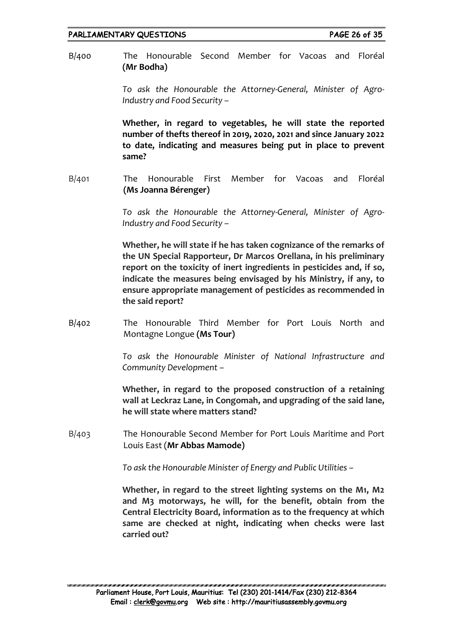B/400 The Honourable Second Member for Vacoas and Floréal **(Mr Bodha)**

> *To ask the Honourable the Attorney-General, Minister of Agro-Industry and Food Security –*

> **Whether, in regard to vegetables, he will state the reported number of thefts thereof in 2019, 2020, 2021 and since January 2022 to date, indicating and measures being put in place to prevent same?**

B/401 The Honourable First Member for Vacoas and Floréal **(Ms Joanna Bérenger)**

> *To ask the Honourable the Attorney-General, Minister of Agro-Industry and Food Security –*

> **Whether, he will state if he has taken cognizance of the remarks of the UN Special Rapporteur, Dr Marcos Orellana, in his preliminary report on the toxicity of inert ingredients in pesticides and, if so, indicate the measures being envisaged by his Ministry, if any, to ensure appropriate management of pesticides as recommended in the said report?**

B/402 The Honourable Third Member for Port Louis North and Montagne Longue **(Ms Tour)**

> *To ask the Honourable Minister of National Infrastructure and Community Development –*

> **Whether, in regard to the proposed construction of a retaining wall at Leckraz Lane, in Congomah, and upgrading of the said lane, he will state where matters stand?**

B/403 The Honourable Second Member for Port Louis Maritime and Port Louis East (**Mr Abbas Mamode)**

*To ask the Honourable Minister of Energy and Public Utilities –*

**Whether, in regard to the street lighting systems on the M1, M2 and M3 motorways, he will, for the benefit, obtain from the Central Electricity Board, information as to the frequency at which same are checked at night, indicating when checks were last carried out?**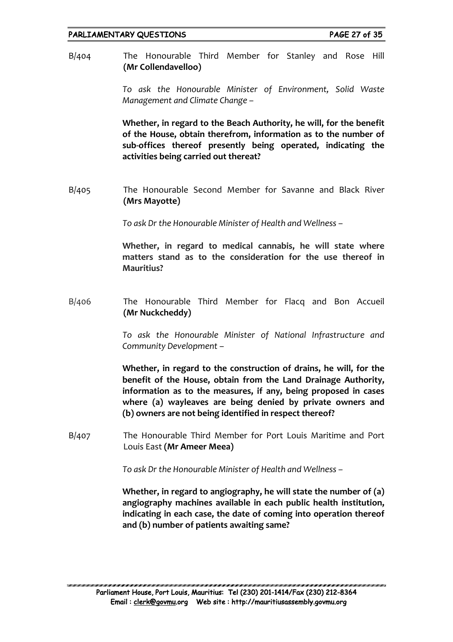B/404 The Honourable Third Member for Stanley and Rose Hill **(Mr Collendavelloo)**

> *To ask the Honourable Minister of Environment, Solid Waste Management and Climate Change –*

> **Whether, in regard to the Beach Authority, he will, for the benefit of the House, obtain therefrom, information as to the number of sub-offices thereof presently being operated, indicating the activities being carried out thereat?**

B/405 The Honourable Second Member for Savanne and Black River **(Mrs Mayotte)**

*To ask Dr the Honourable Minister of Health and Wellness –*

**Whether, in regard to medical cannabis, he will state where matters stand as to the consideration for the use thereof in Mauritius?**

B/406 The Honourable Third Member for Flacq and Bon Accueil **(Mr Nuckcheddy)**

> *To ask the Honourable Minister of National Infrastructure and Community Development –*

> **Whether, in regard to the construction of drains, he will, for the benefit of the House, obtain from the Land Drainage Authority, information as to the measures, if any, being proposed in cases where (a) wayleaves are being denied by private owners and (b) owners are not being identified in respect thereof?**

B/407 The Honourable Third Member for Port Louis Maritime and Port Louis East **(Mr Ameer Meea)**

*To ask Dr the Honourable Minister of Health and Wellness –*

**Whether, in regard to angiography, he will state the number of (a) angiography machines available in each public health institution, indicating in each case, the date of coming into operation thereof and (b) number of patients awaiting same?**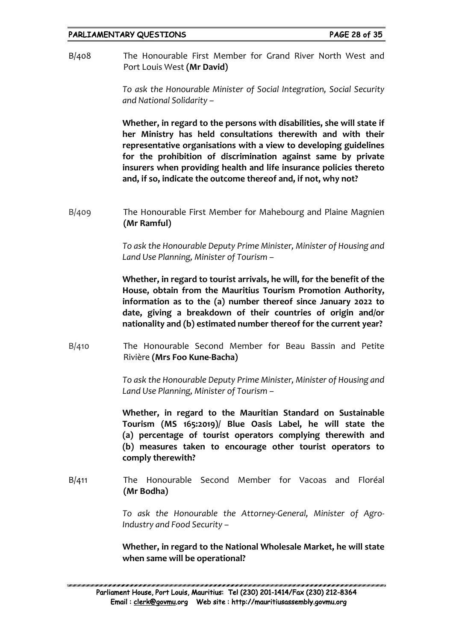## PARLIAMENTARY QUESTIONS FARE 28 of 35

B/408 The Honourable First Member for Grand River North West and Port Louis West **(Mr David)**

> *To ask the Honourable Minister of Social Integration, Social Security and National Solidarity –*

> **Whether, in regard to the persons with disabilities, she will state if her Ministry has held consultations therewith and with their representative organisations with a view to developing guidelines for the prohibition of discrimination against same by private insurers when providing health and life insurance policies thereto and, if so, indicate the outcome thereof and, if not, why not?**

B/409 The Honourable First Member for Mahebourg and Plaine Magnien **(Mr Ramful)**

> *To ask the Honourable Deputy Prime Minister, Minister of Housing and Land Use Planning, Minister of Tourism –*

> **Whether, in regard to tourist arrivals, he will, for the benefit of the House, obtain from the Mauritius Tourism Promotion Authority, information as to the (a) number thereof since January 2022 to date, giving a breakdown of their countries of origin and/or nationality and (b) estimated number thereof for the current year?**

B/410 The Honourable Second Member for Beau Bassin and Petite Rivière **(Mrs Foo Kune-Bacha)**

> *To ask the Honourable Deputy Prime Minister, Minister of Housing and Land Use Planning, Minister of Tourism –*

> **Whether, in regard to the Mauritian Standard on Sustainable Tourism (MS 165:2019)/ Blue Oasis Label, he will state the (a) percentage of tourist operators complying therewith and (b) measures taken to encourage other tourist operators to comply therewith?**

B/411 The Honourable Second Member for Vacoas and Floréal **(Mr Bodha)**

> *To ask the Honourable the Attorney-General, Minister of Agro-Industry and Food Security –*

> **Whether, in regard to the National Wholesale Market, he will state when same will be operational?**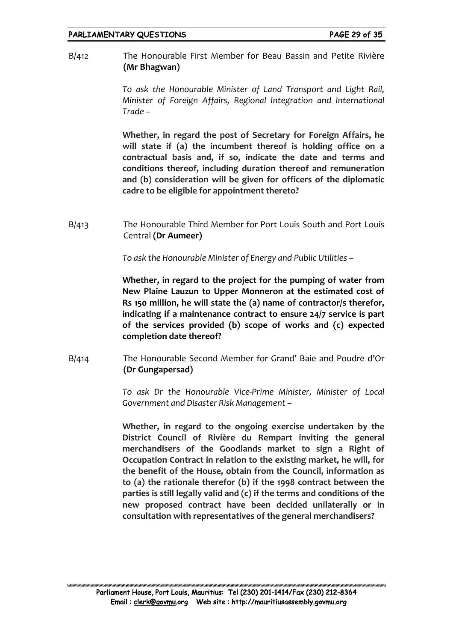## PARLIAMENTARY QUESTIONS FARE 29 of 35

B/412 The Honourable First Member for Beau Bassin and Petite Rivière **(Mr Bhagwan)**

> *To ask the Honourable Minister of Land Transport and Light Rail, Minister of Foreign Affairs, Regional Integration and International Trade –*

> **Whether, in regard the post of Secretary for Foreign Affairs, he will state if (a) the incumbent thereof is holding office on a contractual basis and, if so, indicate the date and terms and conditions thereof, including duration thereof and remuneration and (b) consideration will be given for officers of the diplomatic cadre to be eligible for appointment thereto?**

B/413 The Honourable Third Member for Port Louis South and Port Louis Central **(Dr Aumeer)**

*To ask the Honourable Minister of Energy and Public Utilities –*

**Whether, in regard to the project for the pumping of water from New Plaine Lauzun to Upper Monneron at the estimated cost of Rs 150 million, he will state the (a) name of contractor/s therefor, indicating if a maintenance contract to ensure 24/7 service is part of the services provided (b) scope of works and (c) expected completion date thereof?**

B/414 The Honourable Second Member for Grand' Baie and Poudre d'Or **(Dr Gungapersad)**

> *To ask Dr the Honourable Vice-Prime Minister, Minister of Local Government and Disaster Risk Management –*

> **Whether, in regard to the ongoing exercise undertaken by the District Council of Rivière du Rempart inviting the general merchandisers of the Goodlands market to sign a Right of Occupation Contract in relation to the existing market, he will, for the benefit of the House, obtain from the Council, information as to (a) the rationale therefor (b) if the 1998 contract between the parties is still legally valid and (c) if the terms and conditions of the new proposed contract have been decided unilaterally or in consultation with representatives of the general merchandisers?**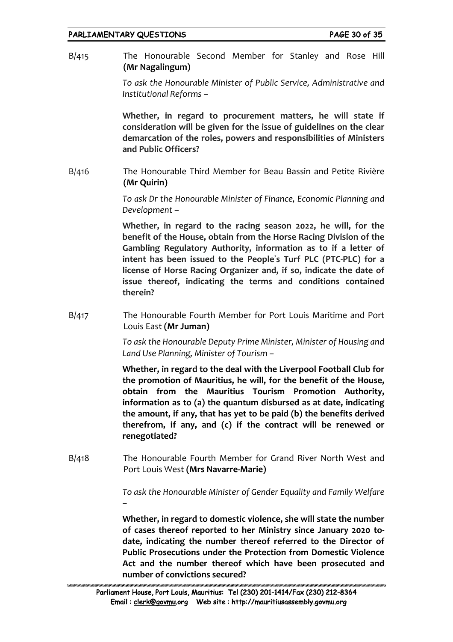## PARLIAMENTARY QUESTIONS FARE 30 of 35

B/415 The Honourable Second Member for Stanley and Rose Hill **(Mr Nagalingum)**

> *To ask the Honourable Minister of Public Service, Administrative and Institutional Reforms –*

> **Whether, in regard to procurement matters, he will state if consideration will be given for the issue of guidelines on the clear demarcation of the roles, powers and responsibilities of Ministers and Public Officers?**

B/416 The Honourable Third Member for Beau Bassin and Petite Rivière **(Mr Quirin)**

> *To ask Dr the Honourable Minister of Finance, Economic Planning and Development –*

> **Whether, in regard to the racing season 2022, he will, for the benefit of the House, obtain from the Horse Racing Division of the Gambling Regulatory Authority, information as to if a letter of intent has been issued to the People**'**s Turf PLC (PTC-PLC) for a license of Horse Racing Organizer and, if so, indicate the date of issue thereof, indicating the terms and conditions contained therein?**

B/417 The Honourable Fourth Member for Port Louis Maritime and Port Louis East **(Mr Juman)**

> *To ask the Honourable Deputy Prime Minister, Minister of Housing and Land Use Planning, Minister of Tourism –*

> **Whether, in regard to the deal with the Liverpool Football Club for the promotion of Mauritius, he will, for the benefit of the House, obtain from the Mauritius Tourism Promotion Authority, information as to (a) the quantum disbursed as at date, indicating the amount, if any, that has yet to be paid (b) the benefits derived therefrom, if any, and (c) if the contract will be renewed or renegotiated?**

B/418 The Honourable Fourth Member for Grand River North West and Port Louis West **(Mrs Navarre-Marie)**

> *To ask the Honourable Minister of Gender Equality and Family Welfare –*

> **Whether, in regard to domestic violence, she will state the number of cases thereof reported to her Ministry since January 2020 todate, indicating the number thereof referred to the Director of Public Prosecutions under the Protection from Domestic Violence Act and the number thereof which have been prosecuted and number of convictions secured?**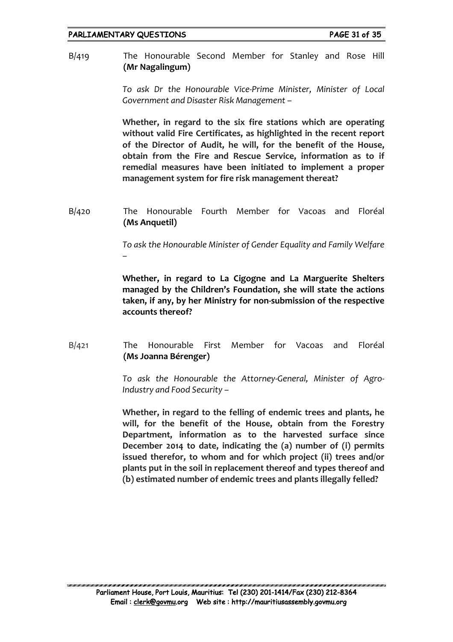B/419 The Honourable Second Member for Stanley and Rose Hill **(Mr Nagalingum)**

> *To ask Dr the Honourable Vice-Prime Minister, Minister of Local Government and Disaster Risk Management –*

> **Whether, in regard to the six fire stations which are operating without valid Fire Certificates, as highlighted in the recent report of the Director of Audit, he will, for the benefit of the House, obtain from the Fire and Rescue Service, information as to if remedial measures have been initiated to implement a proper management system for fire risk management thereat?**

B/420 The Honourable Fourth Member for Vacoas and Floréal **(Ms Anquetil)**

> *To ask the Honourable Minister of Gender Equality and Family Welfare –*

> **Whether, in regard to La Cigogne and La Marguerite Shelters managed by the Children's Foundation, she will state the actions taken, if any, by her Ministry for non-submission of the respective accounts thereof?**

B/421 The Honourable First Member for Vacoas and Floréal **(Ms Joanna Bérenger)**

> *To ask the Honourable the Attorney-General, Minister of Agro-Industry and Food Security –*

> **Whether, in regard to the felling of endemic trees and plants, he will, for the benefit of the House, obtain from the Forestry Department, information as to the harvested surface since December 2014 to date, indicating the (a) number of (i) permits issued therefor, to whom and for which project (ii) trees and/or plants put in the soil in replacement thereof and types thereof and (b) estimated number of endemic trees and plants illegally felled?**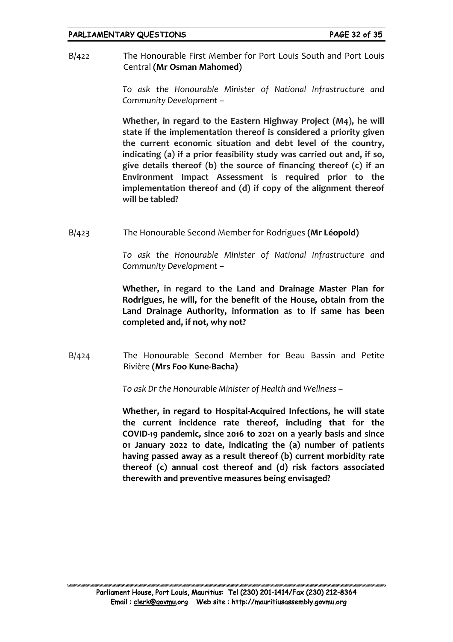B/422 The Honourable First Member for Port Louis South and Port Louis Central **(Mr Osman Mahomed)**

> *To ask the Honourable Minister of National Infrastructure and Community Development –*

> **Whether, in regard to the Eastern Highway Project (M4), he will state if the implementation thereof is considered a priority given the current economic situation and debt level of the country, indicating (a) if a prior feasibility study was carried out and, if so, give details thereof (b) the source of financing thereof (c) if an Environment Impact Assessment is required prior to the implementation thereof and (d) if copy of the alignment thereof will be tabled?**

B/423 The Honourable Second Member for Rodrigues **(Mr Léopold)**

*To ask the Honourable Minister of National Infrastructure and Community Development –*

**Whether, in regard to the Land and Drainage Master Plan for Rodrigues, he will, for the benefit of the House, obtain from the Land Drainage Authority, information as to if same has been completed and, if not, why not?**

B/424 The Honourable Second Member for Beau Bassin and Petite Rivière **(Mrs Foo Kune-Bacha)**

*To ask Dr the Honourable Minister of Health and Wellness –*

**Whether, in regard to Hospital-Acquired Infections, he will state the current incidence rate thereof, including that for the COVID-19 pandemic, since 2016 to 2021 on a yearly basis and since 01 January 2022 to date, indicating the (a) number of patients having passed away as a result thereof (b) current morbidity rate thereof (c) annual cost thereof and (d) risk factors associated therewith and preventive measures being envisaged?**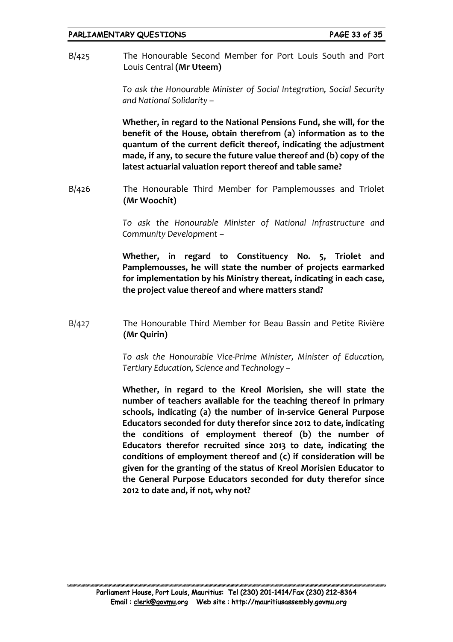B/425 The Honourable Second Member for Port Louis South and Port Louis Central **(Mr Uteem)**

> *To ask the Honourable Minister of Social Integration, Social Security and National Solidarity –*

> **Whether, in regard to the National Pensions Fund, she will, for the benefit of the House, obtain therefrom (a) information as to the quantum of the current deficit thereof, indicating the adjustment made, if any, to secure the future value thereof and (b) copy of the latest actuarial valuation report thereof and table same?**

B/426 The Honourable Third Member for Pamplemousses and Triolet **(Mr Woochit)**

> *To ask the Honourable Minister of National Infrastructure and Community Development –*

> **Whether, in regard to Constituency No. 5, Triolet and Pamplemousses, he will state the number of projects earmarked for implementation by his Ministry thereat, indicating in each case, the project value thereof and where matters stand?**

B/427 The Honourable Third Member for Beau Bassin and Petite Rivière **(Mr Quirin)**

> *To ask the Honourable Vice-Prime Minister, Minister of Education, Tertiary Education, Science and Technology –*

> **Whether, in regard to the Kreol Morisien, she will state the number of teachers available for the teaching thereof in primary schools, indicating (a) the number of in-service General Purpose Educators seconded for duty therefor since 2012 to date, indicating the conditions of employment thereof (b) the number of Educators therefor recruited since 2013 to date, indicating the conditions of employment thereof and (c) if consideration will be given for the granting of the status of Kreol Morisien Educator to the General Purpose Educators seconded for duty therefor since 2012 to date and, if not, why not?**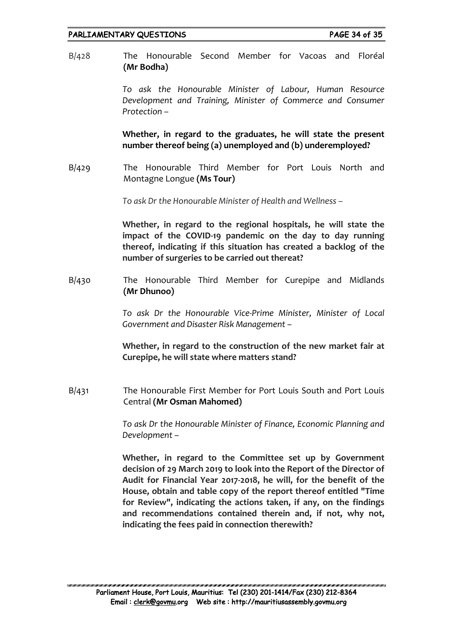## PARLIAMENTARY QUESTIONS FARE 34 of 35

B/428 The Honourable Second Member for Vacoas and Floréal **(Mr Bodha)**

> *To ask the Honourable Minister of Labour, Human Resource Development and Training, Minister of Commerce and Consumer Protection –*

> **Whether, in regard to the graduates, he will state the present number thereof being (a) unemployed and (b) underemployed?**

B/429 The Honourable Third Member for Port Louis North and Montagne Longue **(Ms Tour)**

*To ask Dr the Honourable Minister of Health and Wellness –*

**Whether, in regard to the regional hospitals, he will state the impact of the COVID-19 pandemic on the day to day running thereof, indicating if this situation has created a backlog of the number of surgeries to be carried out thereat?**

B/430 The Honourable Third Member for Curepipe and Midlands **(Mr Dhunoo)**

> *To ask Dr the Honourable Vice-Prime Minister, Minister of Local Government and Disaster Risk Management –*

> **Whether, in regard to the construction of the new market fair at Curepipe, he will state where matters stand?**

B/431 The Honourable First Member for Port Louis South and Port Louis Central **(Mr Osman Mahomed)**

> *To ask Dr the Honourable Minister of Finance, Economic Planning and Development –*

> **Whether, in regard to the Committee set up by Government decision of 29 March 2019 to look into the Report of the Director of Audit for Financial Year 2017-2018, he will, for the benefit of the House, obtain and table copy of the report thereof entitled "Time for Review", indicating the actions taken, if any, on the findings and recommendations contained therein and, if not, why not, indicating the fees paid in connection therewith?**